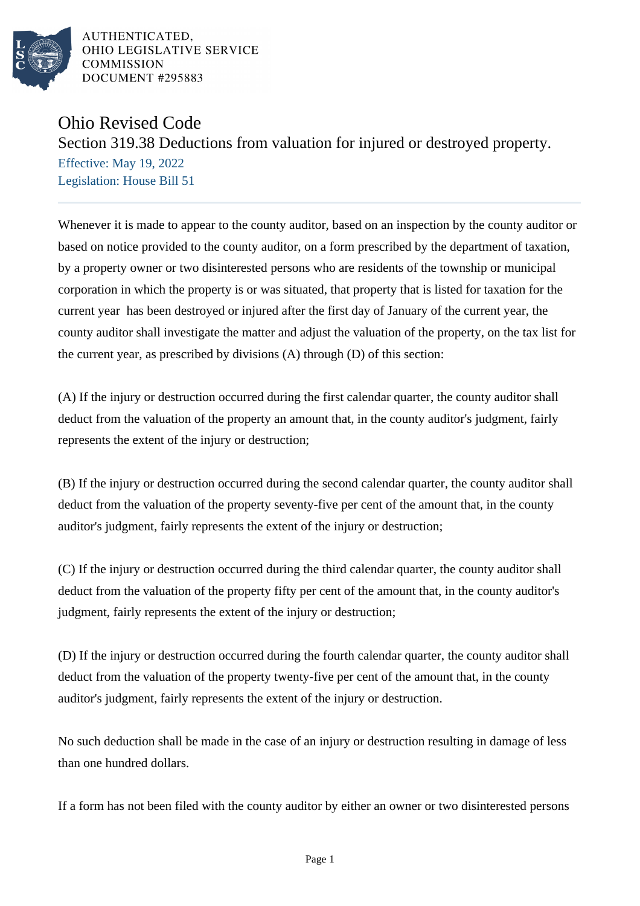

AUTHENTICATED, OHIO LEGISLATIVE SERVICE **COMMISSION** DOCUMENT #295883

## Ohio Revised Code

## Section 319.38 Deductions from valuation for injured or destroyed property.

Effective: May 19, 2022 Legislation: House Bill 51

Whenever it is made to appear to the county auditor, based on an inspection by the county auditor or based on notice provided to the county auditor, on a form prescribed by the department of taxation, by a property owner or two disinterested persons who are residents of the township or municipal corporation in which the property is or was situated, that property that is listed for taxation for the current year has been destroyed or injured after the first day of January of the current year, the county auditor shall investigate the matter and adjust the valuation of the property, on the tax list for the current year, as prescribed by divisions (A) through (D) of this section:

(A) If the injury or destruction occurred during the first calendar quarter, the county auditor shall deduct from the valuation of the property an amount that, in the county auditor's judgment, fairly represents the extent of the injury or destruction;

(B) If the injury or destruction occurred during the second calendar quarter, the county auditor shall deduct from the valuation of the property seventy-five per cent of the amount that, in the county auditor's judgment, fairly represents the extent of the injury or destruction;

(C) If the injury or destruction occurred during the third calendar quarter, the county auditor shall deduct from the valuation of the property fifty per cent of the amount that, in the county auditor's judgment, fairly represents the extent of the injury or destruction;

(D) If the injury or destruction occurred during the fourth calendar quarter, the county auditor shall deduct from the valuation of the property twenty-five per cent of the amount that, in the county auditor's judgment, fairly represents the extent of the injury or destruction.

No such deduction shall be made in the case of an injury or destruction resulting in damage of less than one hundred dollars.

If a form has not been filed with the county auditor by either an owner or two disinterested persons